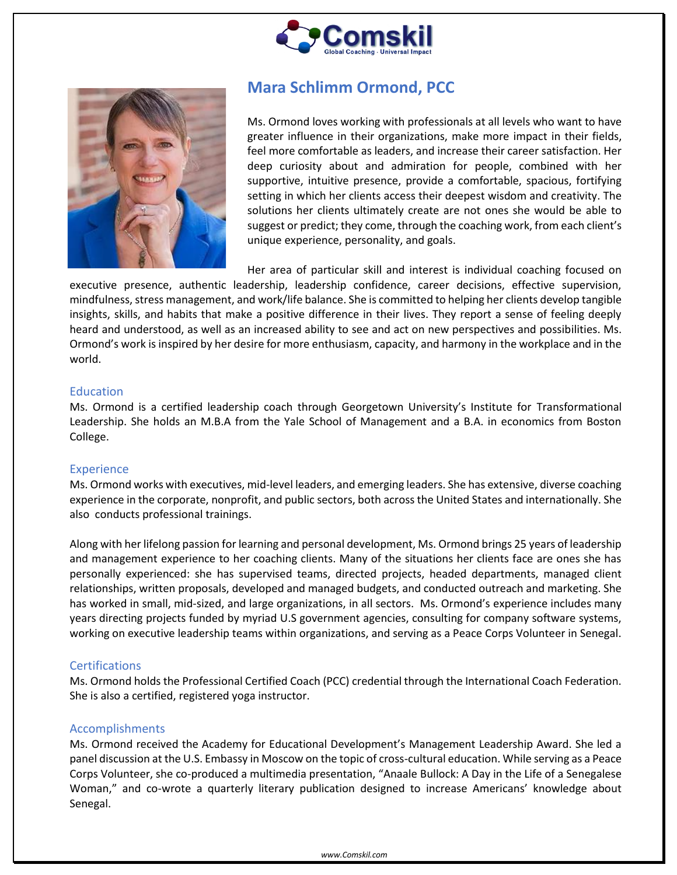



# **Mara Schlimm Ormond, PCC**

Ms. Ormond loves working with professionals at all levels who want to have greater influence in their organizations, make more impact in their fields, feel more comfortable as leaders, and increase their career satisfaction. Her deep curiosity about and admiration for people, combined with her supportive, intuitive presence, provide a comfortable, spacious, fortifying setting in which her clients access their deepest wisdom and creativity. The solutions her clients ultimately create are not ones she would be able to suggest or predict; they come, through the coaching work, from each client's unique experience, personality, and goals.

Her area of particular skill and interest is individual coaching focused on

executive presence, authentic leadership, leadership confidence, career decisions, effective supervision, mindfulness, stress management, and work/life balance. She is committed to helping her clients develop tangible insights, skills, and habits that make a positive difference in their lives. They report a sense of feeling deeply heard and understood, as well as an increased ability to see and act on new perspectives and possibilities. Ms. Ormond's work is inspired by her desire for more enthusiasm, capacity, and harmony in the workplace and in the world.

#### Education

Ms. Ormond is a certified leadership coach through Georgetown University's Institute for Transformational Leadership. She holds an M.B.A from the Yale School of Management and a B.A. in economics from Boston College.

## **Experience**

Ms. Ormond works with executives, mid-level leaders, and emerging leaders. She has extensive, diverse coaching experience in the corporate, nonprofit, and public sectors, both across the United States and internationally. She also conducts professional trainings.

Along with her lifelong passion for learning and personal development, Ms. Ormond brings 25 years of leadership and management experience to her coaching clients. Many of the situations her clients face are ones she has personally experienced: she has supervised teams, directed projects, headed departments, managed client relationships, written proposals, developed and managed budgets, and conducted outreach and marketing. She has worked in small, mid-sized, and large organizations, in all sectors. Ms. Ormond's experience includes many years directing projects funded by myriad U.S government agencies, consulting for company software systems, working on executive leadership teams within organizations, and serving as a Peace Corps Volunteer in Senegal.

## **Certifications**

Ms. Ormond holds the Professional Certified Coach (PCC) credential through the International Coach Federation. She is also a certified, registered yoga instructor.

#### Accomplishments

Ms. Ormond received the Academy for Educational Development's Management Leadership Award. She led a panel discussion at the U.S. Embassy in Moscow on the topic of cross-cultural education. While serving as a Peace Corps Volunteer, she co-produced a multimedia presentation, "Anaale Bullock: A Day in the Life of a Senegalese Woman," and co-wrote a quarterly literary publication designed to increase Americans' knowledge about Senegal.